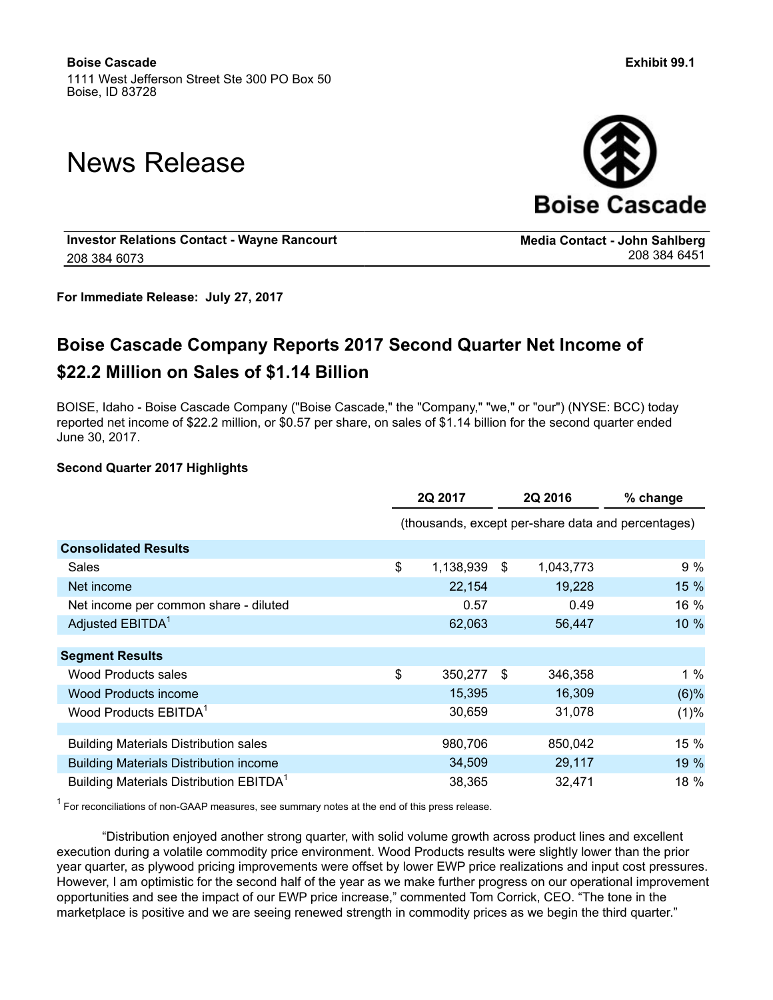# News Release



**Investor Relations Contact - Wayne Rancourt** 208 384 6073

**For Immediate Release: July 27, 2017**

## **Boise Cascade Company Reports 2017 Second Quarter Net Income of \$22.2 Million on Sales of \$1.14 Billion**

BOISE, Idaho - Boise Cascade Company ("Boise Cascade," the "Company," "we," or "our") (NYSE: BCC) today reported net income of \$22.2 million, or \$0.57 per share, on sales of \$1.14 billion for the second quarter ended June 30, 2017.

#### **Second Quarter 2017 Highlights**

|                                                     |                                                    | 2Q 2017   |    | 2Q 2016   | % change |  |  |  |  |  |  |
|-----------------------------------------------------|----------------------------------------------------|-----------|----|-----------|----------|--|--|--|--|--|--|
|                                                     | (thousands, except per-share data and percentages) |           |    |           |          |  |  |  |  |  |  |
| <b>Consolidated Results</b>                         |                                                    |           |    |           |          |  |  |  |  |  |  |
| <b>Sales</b>                                        | \$                                                 | 1,138,939 | \$ | 1,043,773 | 9 %      |  |  |  |  |  |  |
| Net income                                          |                                                    | 22,154    |    | 19,228    | 15 %     |  |  |  |  |  |  |
| Net income per common share - diluted               |                                                    | 0.57      |    | 0.49      | 16 %     |  |  |  |  |  |  |
| Adjusted EBITDA <sup>1</sup>                        |                                                    | 62,063    |    | 56,447    | 10 %     |  |  |  |  |  |  |
| <b>Segment Results</b>                              |                                                    |           |    |           |          |  |  |  |  |  |  |
| <b>Wood Products sales</b>                          | \$                                                 | 350,277   | \$ | 346,358   | 1%       |  |  |  |  |  |  |
| <b>Wood Products income</b>                         |                                                    | 15,395    |    | 16,309    | (6)%     |  |  |  |  |  |  |
| Wood Products EBITDA <sup>1</sup>                   |                                                    | 30,659    |    | 31,078    | (1)%     |  |  |  |  |  |  |
|                                                     |                                                    |           |    |           |          |  |  |  |  |  |  |
| <b>Building Materials Distribution sales</b>        |                                                    | 980,706   |    | 850,042   | 15 %     |  |  |  |  |  |  |
| <b>Building Materials Distribution income</b>       |                                                    | 34,509    |    | 29,117    | 19 %     |  |  |  |  |  |  |
| Building Materials Distribution EBITDA <sup>1</sup> |                                                    | 38,365    |    | 32,471    | 18 %     |  |  |  |  |  |  |

 $1$  For reconciliations of non-GAAP measures, see summary notes at the end of this press release.

"Distribution enjoyed another strong quarter, with solid volume growth across product lines and excellent execution during a volatile commodity price environment. Wood Products results were slightly lower than the prior year quarter, as plywood pricing improvements were offset by lower EWP price realizations and input cost pressures. However, I am optimistic for the second half of the year as we make further progress on our operational improvement opportunities and see the impact of our EWP price increase," commented Tom Corrick, CEO. "The tone in the marketplace is positive and we are seeing renewed strength in commodity prices as we begin the third quarter."

**Media Contact - John Sahlberg** 208 384 6451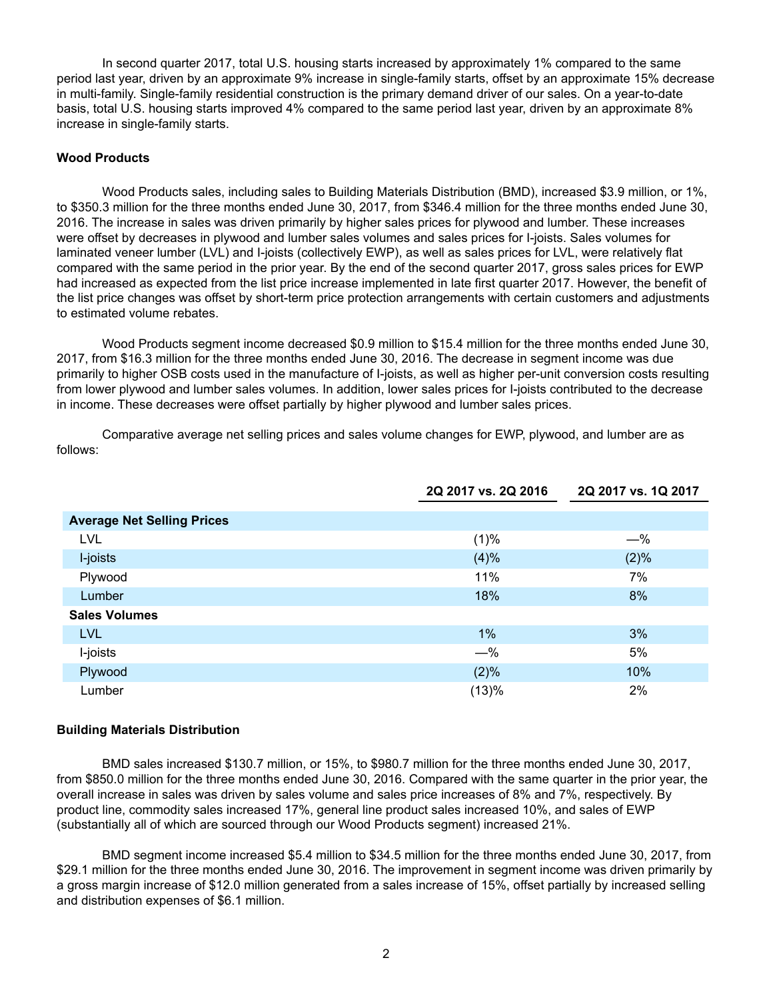In second quarter 2017, total U.S. housing starts increased by approximately 1% compared to the same period last year, driven by an approximate 9% increase in single-family starts, offset by an approximate 15% decrease in multi-family. Single-family residential construction is the primary demand driver of our sales. On a year-to-date basis, total U.S. housing starts improved 4% compared to the same period last year, driven by an approximate 8% increase in single-family starts.

#### **Wood Products**

Wood Products sales, including sales to Building Materials Distribution (BMD), increased \$3.9 million, or 1%, to \$350.3 million for the three months ended June 30, 2017, from \$346.4 million for the three months ended June 30, 2016. The increase in sales was driven primarily by higher sales prices for plywood and lumber. These increases were offset by decreases in plywood and lumber sales volumes and sales prices for I-joists. Sales volumes for laminated veneer lumber (LVL) and I-joists (collectively EWP), as well as sales prices for LVL, were relatively flat compared with the same period in the prior year. By the end of the second quarter 2017, gross sales prices for EWP had increased as expected from the list price increase implemented in late first quarter 2017. However, the benefit of the list price changes was offset by short-term price protection arrangements with certain customers and adjustments to estimated volume rebates.

Wood Products segment income decreased \$0.9 million to \$15.4 million for the three months ended June 30, 2017, from \$16.3 million for the three months ended June 30, 2016. The decrease in segment income was due primarily to higher OSB costs used in the manufacture of I-joists, as well as higher per-unit conversion costs resulting from lower plywood and lumber sales volumes. In addition, lower sales prices for I-joists contributed to the decrease in income. These decreases were offset partially by higher plywood and lumber sales prices.

|                                   | 2Q 2017 vs. 2Q 2016 | 2Q 2017 vs. 1Q 2017 |
|-----------------------------------|---------------------|---------------------|
| <b>Average Net Selling Prices</b> |                     |                     |
| <b>LVL</b>                        | (1)%                | $-\%$               |
| I-joists                          | (4)%                | (2)%                |
| Plywood                           | 11%                 | 7%                  |
| Lumber                            | 18%                 | 8%                  |
| <b>Sales Volumes</b>              |                     |                     |
| <b>LVL</b>                        | 1%                  | 3%                  |
| I-joists                          | $-\%$               | 5%                  |
| Plywood                           | (2)%                | 10%                 |
| Lumber                            | (13)%               | 2%                  |

Comparative average net selling prices and sales volume changes for EWP, plywood, and lumber are as follows:

#### **Building Materials Distribution**

BMD sales increased \$130.7 million, or 15%, to \$980.7 million for the three months ended June 30, 2017, from \$850.0 million for the three months ended June 30, 2016. Compared with the same quarter in the prior year, the overall increase in sales was driven by sales volume and sales price increases of 8% and 7%, respectively. By product line, commodity sales increased 17%, general line product sales increased 10%, and sales of EWP (substantially all of which are sourced through our Wood Products segment) increased 21%.

BMD segment income increased \$5.4 million to \$34.5 million for the three months ended June 30, 2017, from \$29.1 million for the three months ended June 30, 2016. The improvement in segment income was driven primarily by a gross margin increase of \$12.0 million generated from a sales increase of 15%, offset partially by increased selling and distribution expenses of \$6.1 million.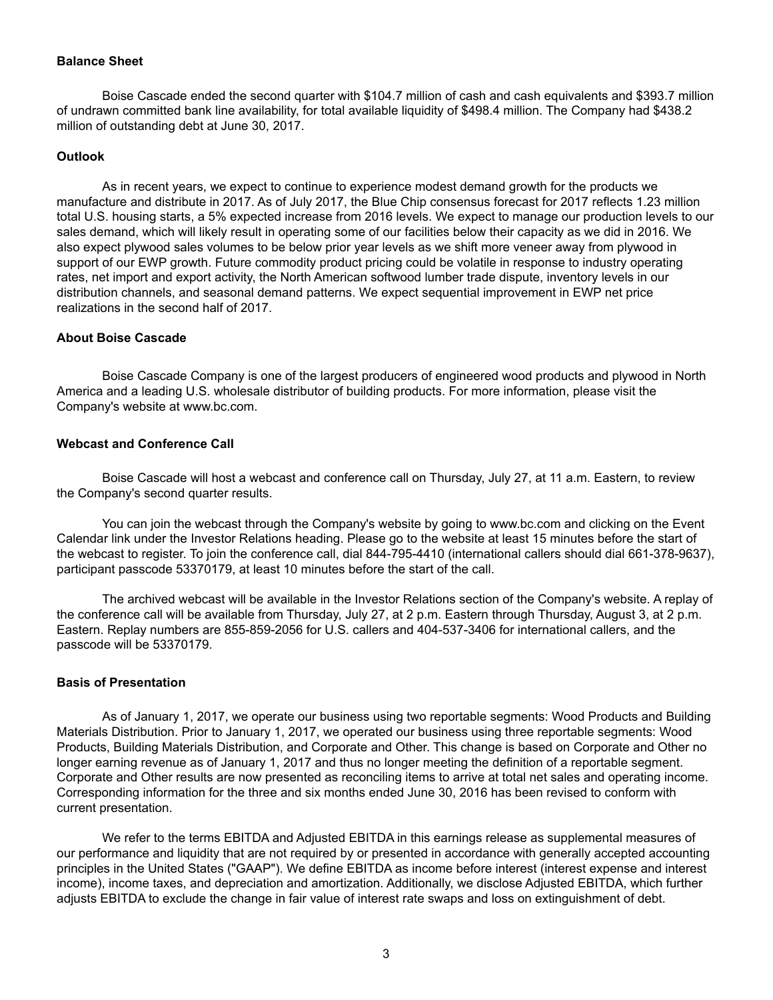#### **Balance Sheet**

Boise Cascade ended the second quarter with \$104.7 million of cash and cash equivalents and \$393.7 million of undrawn committed bank line availability, for total available liquidity of \$498.4 million. The Company had \$438.2 million of outstanding debt at June 30, 2017.

#### **Outlook**

As in recent years, we expect to continue to experience modest demand growth for the products we manufacture and distribute in 2017. As of July 2017, the Blue Chip consensus forecast for 2017 reflects 1.23 million total U.S. housing starts, a 5% expected increase from 2016 levels. We expect to manage our production levels to our sales demand, which will likely result in operating some of our facilities below their capacity as we did in 2016. We also expect plywood sales volumes to be below prior year levels as we shift more veneer away from plywood in support of our EWP growth. Future commodity product pricing could be volatile in response to industry operating rates, net import and export activity, the North American softwood lumber trade dispute, inventory levels in our distribution channels, and seasonal demand patterns. We expect sequential improvement in EWP net price realizations in the second half of 2017.

#### **About Boise Cascade**

Boise Cascade Company is one of the largest producers of engineered wood products and plywood in North America and a leading U.S. wholesale distributor of building products. For more information, please visit the Company's website at www.bc.com.

#### **Webcast and Conference Call**

Boise Cascade will host a webcast and conference call on Thursday, July 27, at 11 a.m. Eastern, to review the Company's second quarter results.

You can join the webcast through the Company's website by going to www.bc.com and clicking on the Event Calendar link under the Investor Relations heading. Please go to the website at least 15 minutes before the start of the webcast to register. To join the conference call, dial 844-795-4410 (international callers should dial 661-378-9637), participant passcode 53370179, at least 10 minutes before the start of the call.

The archived webcast will be available in the Investor Relations section of the Company's website. A replay of the conference call will be available from Thursday, July 27, at 2 p.m. Eastern through Thursday, August 3, at 2 p.m. Eastern. Replay numbers are 855-859-2056 for U.S. callers and 404-537-3406 for international callers, and the passcode will be 53370179.

#### **Basis of Presentation**

As of January 1, 2017, we operate our business using two reportable segments: Wood Products and Building Materials Distribution. Prior to January 1, 2017, we operated our business using three reportable segments: Wood Products, Building Materials Distribution, and Corporate and Other. This change is based on Corporate and Other no longer earning revenue as of January 1, 2017 and thus no longer meeting the definition of a reportable segment. Corporate and Other results are now presented as reconciling items to arrive at total net sales and operating income. Corresponding information for the three and six months ended June 30, 2016 has been revised to conform with current presentation.

We refer to the terms EBITDA and Adjusted EBITDA in this earnings release as supplemental measures of our performance and liquidity that are not required by or presented in accordance with generally accepted accounting principles in the United States ("GAAP"). We define EBITDA as income before interest (interest expense and interest income), income taxes, and depreciation and amortization. Additionally, we disclose Adjusted EBITDA, which further adjusts EBITDA to exclude the change in fair value of interest rate swaps and loss on extinguishment of debt.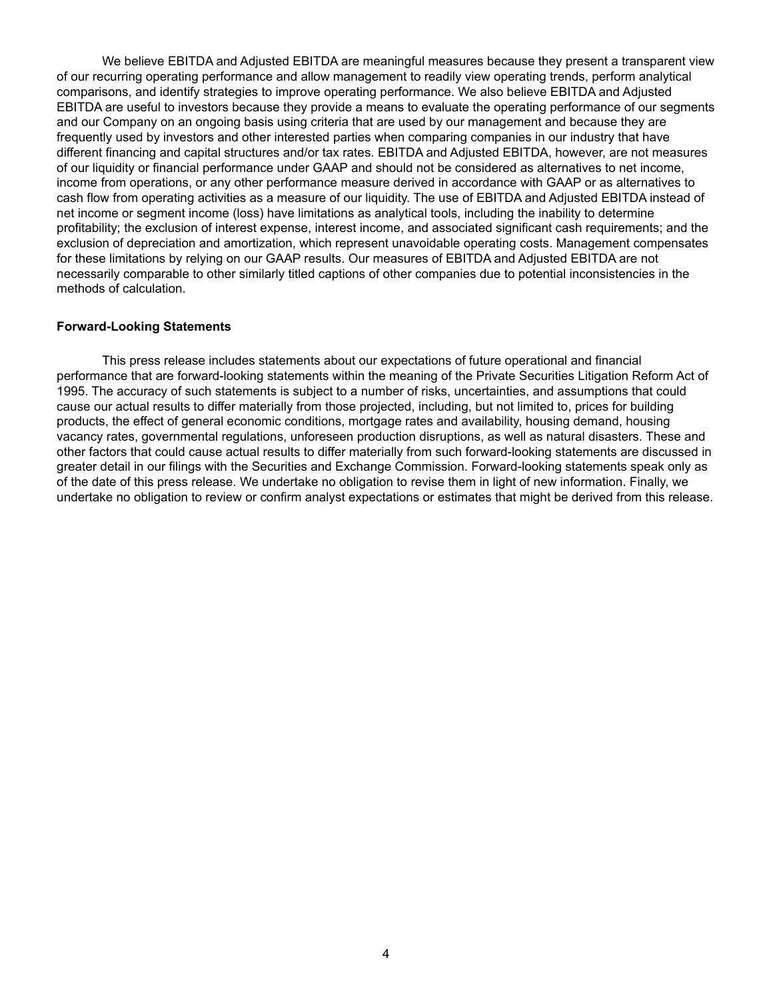We believe EBITDA and Adjusted EBITDA are meaningful measures because they present a transparent view of our recurring operating performance and allow management to readily view operating trends, perform analytical comparisons, and identify strategies to improve operating performance. We also believe EBITDA and Adjusted EBITDA are useful to investors because they provide a means to evaluate the operating performance of our segments and our Company on an ongoing basis using criteria that are used by our management and because they are frequently used by investors and other interested parties when comparing companies in our industry that have different financing and capital structures and/or tax rates. EBITDA and Adjusted EBITDA, however, are not measures of our liquidity or financial performance under GAAP and should not be considered as alternatives to net income, income from operations, or any other performance measure derived in accordance with GAAP or as alternatives to cash flow from operating activities as a measure of our liquidity. The use of EBITDA and Adjusted EBITDA instead of net income or segment income (loss) have limitations as analytical tools, including the inability to determine profitability; the exclusion of interest expense, interest income, and associated significant cash requirements; and the exclusion of depreciation and amortization, which represent unavoidable operating costs. Management compensates for these limitations by relying on our GAAP results. Our measures of EBITDA and Adjusted EBITDA are not necessarily comparable to other similarly titled captions of other companies due to potential inconsistencies in the methods of calculation.

#### **Forward-Looking Statements**

This press release includes statements about our expectations of future operational and financial performance that are forward-looking statements within the meaning of the Private Securities Litigation Reform Act of 1995. The accuracy of such statements is subject to a number of risks, uncertainties, and assumptions that could cause our actual results to differ materially from those projected, including, but not limited to, prices for building products, the effect of general economic conditions, mortgage rates and availability, housing demand, housing vacancy rates, governmental regulations, unforeseen production disruptions, as well as natural disasters. These and other factors that could cause actual results to differ materially from such forward-looking statements are discussed in greater detail in our filings with the Securities and Exchange Commission. Forward-looking statements speak only as of the date of this press release. We undertake no obligation to revise them in light of new information. Finally, we undertake no obligation to review or confirm analyst expectations or estimates that might be derived from this release.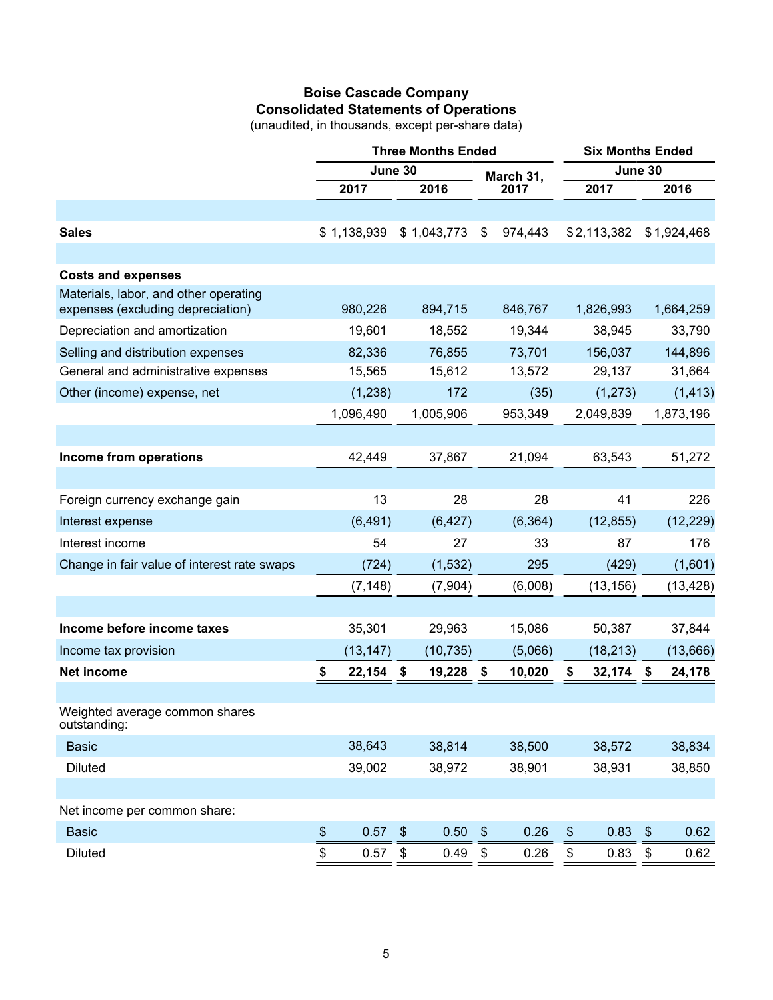### **Boise Cascade Company Consolidated Statements of Operations**

(unaudited, in thousands, except per-share data)

|                                                                            |            |             |               | <b>Three Months Ended</b> |                         |           | <b>Six Months Ended</b>                   |             |               |             |
|----------------------------------------------------------------------------|------------|-------------|---------------|---------------------------|-------------------------|-----------|-------------------------------------------|-------------|---------------|-------------|
|                                                                            |            | June 30     |               |                           |                         | March 31, | June 30                                   |             |               |             |
|                                                                            |            | 2017        |               | 2016                      |                         | 2017      |                                           | 2017        |               | 2016        |
|                                                                            |            |             |               |                           |                         |           |                                           |             |               |             |
| <b>Sales</b>                                                               |            | \$1,138,939 |               | \$1,043,773               | \$                      | 974,443   |                                           | \$2,113,382 |               | \$1,924,468 |
|                                                                            |            |             |               |                           |                         |           |                                           |             |               |             |
| <b>Costs and expenses</b>                                                  |            |             |               |                           |                         |           |                                           |             |               |             |
| Materials, labor, and other operating<br>expenses (excluding depreciation) |            | 980,226     |               | 894,715                   |                         | 846,767   |                                           | 1,826,993   |               | 1,664,259   |
| Depreciation and amortization                                              |            | 19,601      |               | 18,552                    |                         | 19,344    |                                           | 38,945      |               | 33,790      |
| Selling and distribution expenses                                          |            | 82,336      |               | 76,855                    |                         | 73,701    |                                           | 156,037     |               | 144,896     |
| General and administrative expenses                                        |            | 15,565      |               | 15,612                    |                         | 13,572    |                                           | 29,137      |               | 31,664      |
| Other (income) expense, net                                                |            | (1,238)     |               | 172                       |                         | (35)      |                                           | (1, 273)    |               | (1, 413)    |
|                                                                            |            | 1,096,490   |               | 1,005,906                 |                         | 953,349   |                                           | 2,049,839   |               | 1,873,196   |
|                                                                            |            |             |               |                           |                         |           |                                           |             |               |             |
| Income from operations                                                     |            | 42,449      |               | 37,867                    |                         | 21,094    |                                           | 63,543      |               | 51,272      |
|                                                                            |            |             |               |                           |                         |           |                                           |             |               |             |
| Foreign currency exchange gain                                             |            | 13          |               | 28                        |                         | 28        |                                           | 41          |               | 226         |
| Interest expense                                                           |            | (6, 491)    |               | (6, 427)                  |                         | (6, 364)  |                                           | (12, 855)   |               | (12, 229)   |
| Interest income                                                            |            | 54          |               | 27                        |                         | 33        |                                           | 87          |               | 176         |
| Change in fair value of interest rate swaps                                |            | (724)       |               | (1, 532)                  |                         | 295       |                                           | (429)       |               | (1,601)     |
|                                                                            |            | (7, 148)    |               | (7,904)                   |                         | (6,008)   |                                           | (13, 156)   |               | (13, 428)   |
|                                                                            |            |             |               |                           |                         |           |                                           |             |               |             |
| Income before income taxes                                                 |            | 35,301      |               | 29,963                    |                         | 15,086    |                                           | 50,387      |               | 37,844      |
| Income tax provision                                                       |            | (13, 147)   |               | (10, 735)                 |                         | (5,066)   |                                           | (18, 213)   |               | (13,666)    |
| Net income                                                                 | \$         | 22,154      | \$            | 19,228                    | \$                      | 10,020    | \$                                        | 32,174      | \$            | 24,178      |
|                                                                            |            |             |               |                           |                         |           |                                           |             |               |             |
| Weighted average common shares<br>outstanding:                             |            |             |               |                           |                         |           |                                           |             |               |             |
| <b>Basic</b>                                                               |            | 38,643      |               | 38,814                    |                         | 38,500    |                                           | 38,572      |               | 38,834      |
| <b>Diluted</b>                                                             |            | 39,002      |               | 38,972                    |                         | 38,901    |                                           | 38,931      |               | 38,850      |
|                                                                            |            |             |               |                           |                         |           |                                           |             |               |             |
| Net income per common share:                                               |            |             |               |                           |                         |           |                                           |             |               |             |
| <b>Basic</b>                                                               | $\pmb{\$}$ | 0.57        | $\sqrt[6]{3}$ | 0.50                      | $\sqrt[6]{\frac{1}{2}}$ | 0.26      | $\boldsymbol{\boldsymbol{\mathfrak{s}}}$  | 0.83        | $\frac{1}{2}$ | 0.62        |
| <b>Diluted</b>                                                             | \$         | 0.57        | \$            | 0.49                      | \$                      | 0.26      | $\, \, \raisebox{12pt}{$\scriptstyle \$}$ | 0.83        | \$            | 0.62        |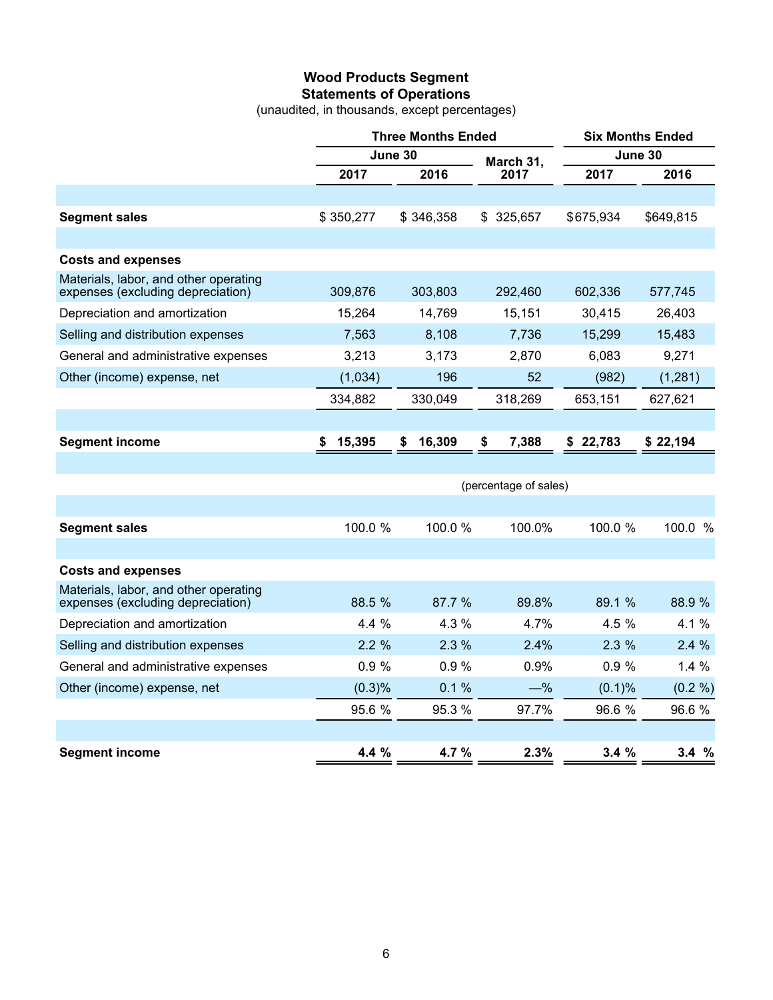### **Wood Products Segment Statements of Operations**

(unaudited, in thousands, except percentages)

|                                                                            |           | <b>Three Months Ended</b> |                       | <b>Six Months Ended</b> |           |  |  |
|----------------------------------------------------------------------------|-----------|---------------------------|-----------------------|-------------------------|-----------|--|--|
|                                                                            | June 30   |                           | March 31,             | June 30                 |           |  |  |
|                                                                            | 2017      | 2016                      | 2017                  | 2017                    | 2016      |  |  |
|                                                                            |           |                           |                       |                         |           |  |  |
| <b>Segment sales</b>                                                       | \$350,277 | \$346,358                 | \$325,657             | \$675,934               | \$649,815 |  |  |
|                                                                            |           |                           |                       |                         |           |  |  |
| <b>Costs and expenses</b>                                                  |           |                           |                       |                         |           |  |  |
| Materials, labor, and other operating<br>expenses (excluding depreciation) | 309,876   | 303,803                   | 292,460               | 602,336                 | 577,745   |  |  |
| Depreciation and amortization                                              | 15,264    | 14,769                    | 15,151                | 30,415                  | 26,403    |  |  |
| Selling and distribution expenses                                          | 7,563     | 8,108                     | 7,736                 | 15,299                  | 15,483    |  |  |
| General and administrative expenses                                        | 3,213     | 3,173                     | 2,870                 | 6,083                   | 9,271     |  |  |
| Other (income) expense, net                                                | (1,034)   | 196                       | 52                    | (982)                   | (1, 281)  |  |  |
|                                                                            | 334,882   | 330,049                   | 318,269               | 653,151                 | 627,621   |  |  |
|                                                                            |           |                           |                       |                         |           |  |  |
| <b>Segment income</b>                                                      | 15,395    | \$<br>16,309              | \$<br>7,388           | 22,783<br>\$            | \$22,194  |  |  |
|                                                                            |           |                           |                       |                         |           |  |  |
|                                                                            |           |                           | (percentage of sales) |                         |           |  |  |
|                                                                            |           |                           |                       |                         |           |  |  |
| <b>Segment sales</b>                                                       | 100.0 %   | 100.0%                    | 100.0%                | 100.0 %                 | 100.0 %   |  |  |
|                                                                            |           |                           |                       |                         |           |  |  |
| <b>Costs and expenses</b>                                                  |           |                           |                       |                         |           |  |  |
| Materials, labor, and other operating<br>expenses (excluding depreciation) | 88.5 %    | 87.7 %                    | 89.8%                 | 89.1 %                  | 88.9%     |  |  |
| Depreciation and amortization                                              | 4.4 %     | 4.3 %                     | 4.7%                  | 4.5 %                   | 4.1 %     |  |  |
| Selling and distribution expenses                                          | 2.2%      | 2.3%                      | 2.4%                  | 2.3%                    | 2.4%      |  |  |
| General and administrative expenses                                        | 0.9%      | 0.9%                      | 0.9%                  | 0.9%                    | 1.4%      |  |  |
| Other (income) expense, net                                                | (0.3)%    | 0.1%                      | $-$ %                 | (0.1)%                  | (0.2 %)   |  |  |
|                                                                            | 95.6 %    | 95.3 %                    | 97.7%                 | 96.6 %                  | 96.6%     |  |  |
|                                                                            |           |                           |                       |                         |           |  |  |
| <b>Segment income</b>                                                      | 4.4 %     | 4.7%                      | 2.3%                  | 3.4%                    | 3.4%      |  |  |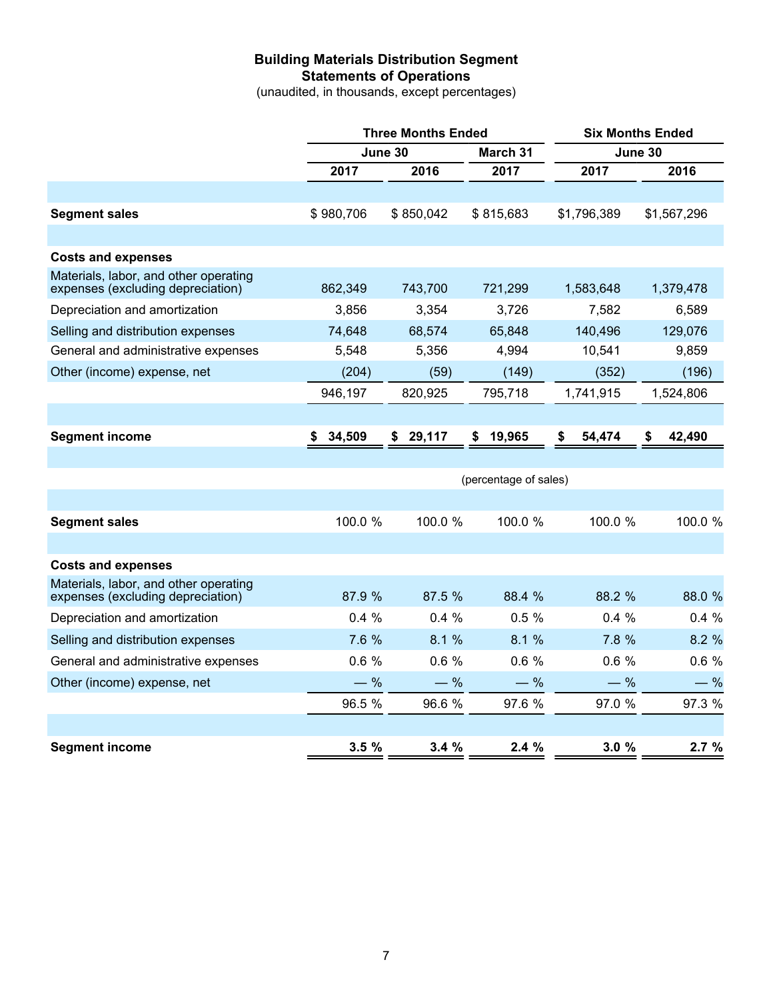### **Building Materials Distribution Segment**

**Statements of Operations**

(unaudited, in thousands, except percentages)

|                                                                            |             | <b>Three Months Ended</b> |              | <b>Six Months Ended</b> |              |  |
|----------------------------------------------------------------------------|-------------|---------------------------|--------------|-------------------------|--------------|--|
|                                                                            |             | June 30                   | March 31     |                         | June 30      |  |
|                                                                            | 2017        | 2016                      | 2017         | 2017                    | 2016         |  |
|                                                                            |             |                           |              |                         |              |  |
| <b>Segment sales</b>                                                       | \$980,706   | \$850,042                 | \$815,683    | \$1,796,389             | \$1,567,296  |  |
|                                                                            |             |                           |              |                         |              |  |
| <b>Costs and expenses</b>                                                  |             |                           |              |                         |              |  |
| Materials, labor, and other operating<br>expenses (excluding depreciation) | 862,349     | 743,700                   | 721,299      | 1,583,648               | 1,379,478    |  |
| Depreciation and amortization                                              | 3,856       | 3,354                     | 3,726        | 7,582                   | 6,589        |  |
| Selling and distribution expenses                                          | 74,648      | 68,574                    | 65,848       | 140,496                 | 129,076      |  |
| General and administrative expenses                                        | 5,548       | 5,356                     | 4,994        | 10,541                  | 9,859        |  |
| Other (income) expense, net                                                | (204)       | (59)                      | (149)        | (352)                   | (196)        |  |
|                                                                            | 946,197     | 820,925                   | 795,718      | 1,741,915               | 1,524,806    |  |
|                                                                            |             |                           |              |                         |              |  |
| <b>Segment income</b>                                                      | 34,509<br>S | \$<br>29,117              | \$<br>19,965 | \$<br>54,474            | \$<br>42,490 |  |
|                                                                            |             |                           |              |                         |              |  |

|                                                                            | (percentage of sales) |         |         |         |          |  |  |  |  |  |  |
|----------------------------------------------------------------------------|-----------------------|---------|---------|---------|----------|--|--|--|--|--|--|
|                                                                            |                       |         |         |         |          |  |  |  |  |  |  |
| <b>Segment sales</b>                                                       | 100.0 %               | 100.0 % | 100.0 % | 100.0 % | 100.0 %  |  |  |  |  |  |  |
|                                                                            |                       |         |         |         |          |  |  |  |  |  |  |
| <b>Costs and expenses</b>                                                  |                       |         |         |         |          |  |  |  |  |  |  |
| Materials, labor, and other operating<br>expenses (excluding depreciation) | 87.9 %                | 87.5 %  | 88.4 %  | 88.2 %  | 88.0 %   |  |  |  |  |  |  |
| Depreciation and amortization                                              | $0.4\%$               | 0.4%    | 0.5%    | $0.4\%$ | 0.4%     |  |  |  |  |  |  |
| Selling and distribution expenses                                          | 7.6 %                 | 8.1%    | 8.1%    | 7.8 %   | 8.2%     |  |  |  |  |  |  |
| General and administrative expenses                                        | 0.6%                  | 0.6%    | 0.6%    | 0.6%    | 0.6%     |  |  |  |  |  |  |
| Other (income) expense, net                                                | $-$ %                 | $-$ %   | $-$ %   | $-$ %   | $-$ %    |  |  |  |  |  |  |
|                                                                            | 96.5 %                | 96.6 %  | 97.6 %  | 97.0 %  | 97.3 %   |  |  |  |  |  |  |
|                                                                            |                       |         |         |         |          |  |  |  |  |  |  |
| <b>Segment income</b>                                                      | 3.5%                  | 3.4%    | 2.4%    | 3.0%    | $2.7 \%$ |  |  |  |  |  |  |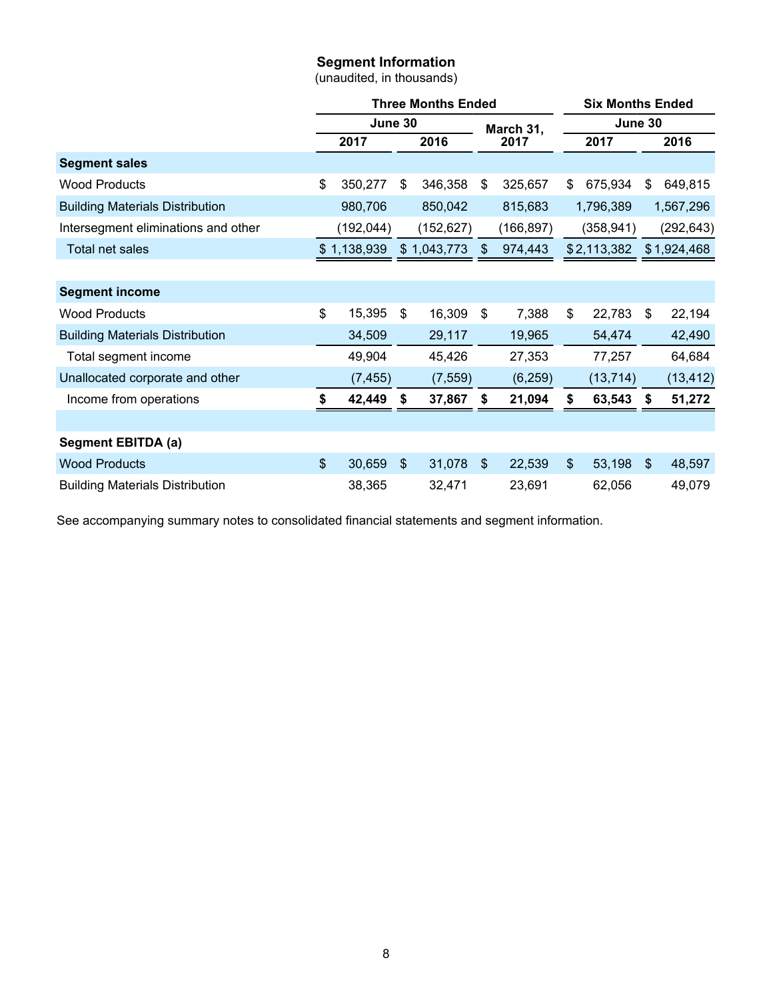### **Segment Information**

(unaudited, in thousands)

|                                        |               | <b>Three Months Ended</b> |             |                |            | <b>Six Months Ended</b> |             |               |             |
|----------------------------------------|---------------|---------------------------|-------------|----------------|------------|-------------------------|-------------|---------------|-------------|
|                                        | June 30       |                           |             |                | March 31,  |                         | June 30     |               |             |
|                                        | 2017          |                           | 2016        |                | 2017       |                         | 2017        |               | 2016        |
| <b>Segment sales</b>                   |               |                           |             |                |            |                         |             |               |             |
| <b>Wood Products</b>                   | \$<br>350,277 | \$.                       | 346,358     | \$             | 325,657    | \$                      | 675,934     | \$            | 649,815     |
| <b>Building Materials Distribution</b> | 980,706       |                           | 850,042     |                | 815,683    |                         | 1,796,389   |               | 1,567,296   |
| Intersegment eliminations and other    | (192, 044)    |                           | (152, 627)  |                | (166, 897) |                         | (358, 941)  |               | (292, 643)  |
| Total net sales                        | \$1,138,939   |                           | \$1,043,773 | \$             | 974,443    |                         | \$2,113,382 |               | \$1,924,468 |
|                                        |               |                           |             |                |            |                         |             |               |             |
| <b>Segment income</b>                  |               |                           |             |                |            |                         |             |               |             |
| <b>Wood Products</b>                   | \$<br>15,395  | \$                        | 16,309      | \$             | 7,388      | \$                      | 22,783      | \$            | 22,194      |
| <b>Building Materials Distribution</b> | 34,509        |                           | 29,117      |                | 19,965     |                         | 54,474      |               | 42,490      |
| Total segment income                   | 49,904        |                           | 45,426      |                | 27,353     |                         | 77,257      |               | 64,684      |
| Unallocated corporate and other        | (7, 455)      |                           | (7, 559)    |                | (6, 259)   |                         | (13, 714)   |               | (13, 412)   |
| Income from operations                 | 42,449        | S                         | 37,867      | \$             | 21,094     | S                       | 63,543      | S             | 51,272      |
|                                        |               |                           |             |                |            |                         |             |               |             |
| Segment EBITDA (a)                     |               |                           |             |                |            |                         |             |               |             |
| <b>Wood Products</b>                   | \$<br>30,659  | $\boldsymbol{\mathsf{s}}$ | 31,078      | $\mathfrak{F}$ | 22,539     | \$                      | 53,198      | $\frac{2}{3}$ | 48,597      |
| <b>Building Materials Distribution</b> | 38,365        |                           | 32,471      |                | 23,691     |                         | 62,056      |               | 49,079      |

See accompanying summary notes to consolidated financial statements and segment information.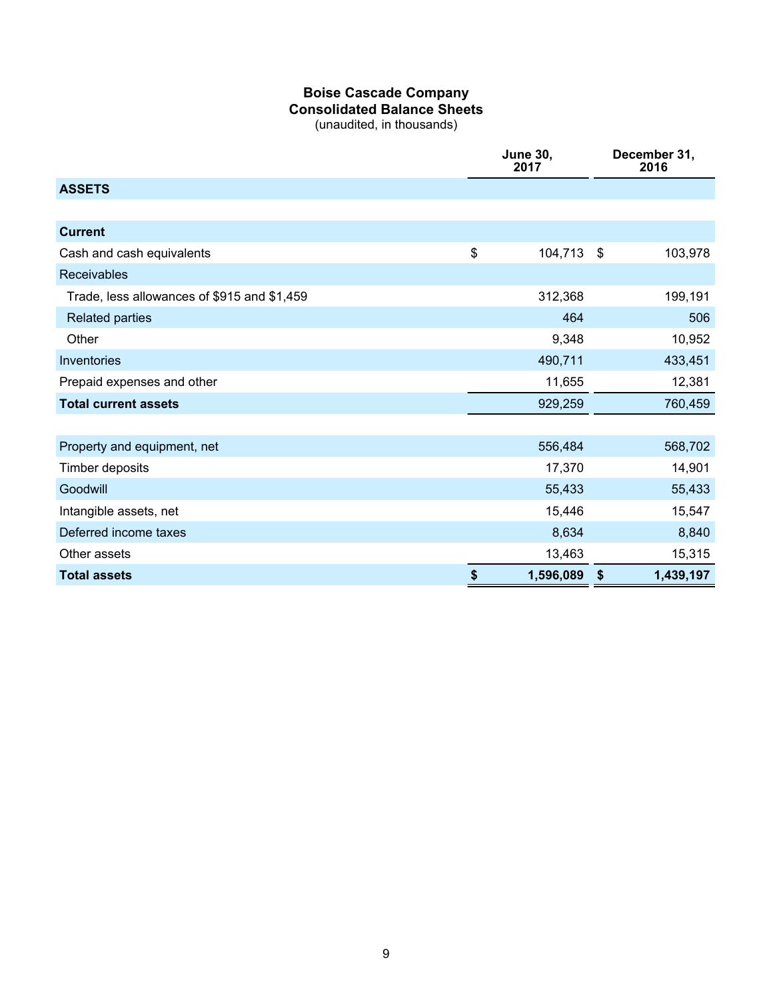#### **Boise Cascade Company Consolidated Balance Sheets**

(unaudited, in thousands)

|                                             | <b>June 30,</b><br>2017 | December 31,<br>2016 |           |  |  |
|---------------------------------------------|-------------------------|----------------------|-----------|--|--|
| <b>ASSETS</b>                               |                         |                      |           |  |  |
|                                             |                         |                      |           |  |  |
| <b>Current</b>                              |                         |                      |           |  |  |
| Cash and cash equivalents                   | \$<br>104,713           | \$                   | 103,978   |  |  |
| <b>Receivables</b>                          |                         |                      |           |  |  |
| Trade, less allowances of \$915 and \$1,459 | 312,368                 |                      | 199,191   |  |  |
| <b>Related parties</b>                      | 464                     |                      | 506       |  |  |
| Other                                       | 9,348                   |                      | 10,952    |  |  |
| Inventories                                 | 490,711                 |                      | 433,451   |  |  |
| Prepaid expenses and other                  | 11,655                  |                      | 12,381    |  |  |
| <b>Total current assets</b>                 | 929,259                 |                      | 760,459   |  |  |
|                                             |                         |                      |           |  |  |
| Property and equipment, net                 | 556,484                 |                      | 568,702   |  |  |
| Timber deposits                             | 17,370                  |                      | 14,901    |  |  |
| Goodwill                                    | 55,433                  |                      | 55,433    |  |  |
| Intangible assets, net                      | 15,446                  |                      | 15,547    |  |  |
| Deferred income taxes                       | 8,634                   |                      | 8,840     |  |  |
| Other assets                                | 13,463                  |                      | 15,315    |  |  |
| <b>Total assets</b>                         | \$<br>1,596,089         | \$                   | 1,439,197 |  |  |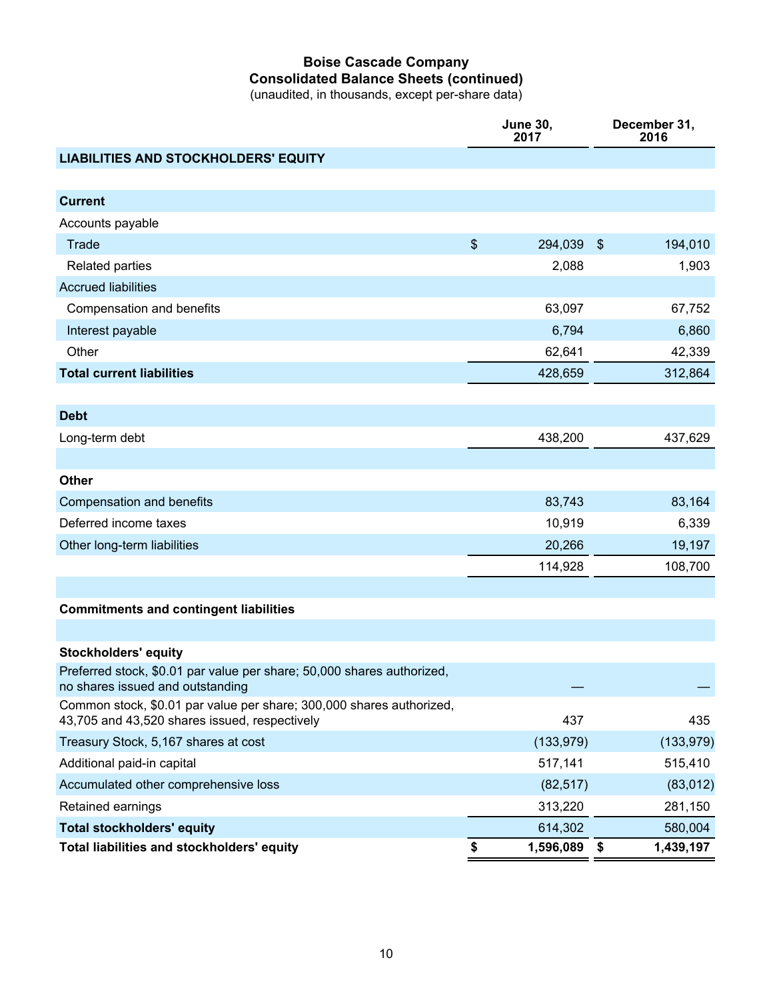### **Boise Cascade Company Consolidated Balance Sheets (continued)**

(unaudited, in thousands, except per-share data)

|                                                                                                                       | <b>June 30,</b><br>2017 |            |               | December 31,<br>2016 |  |  |  |
|-----------------------------------------------------------------------------------------------------------------------|-------------------------|------------|---------------|----------------------|--|--|--|
| <b>LIABILITIES AND STOCKHOLDERS' EQUITY</b>                                                                           |                         |            |               |                      |  |  |  |
|                                                                                                                       |                         |            |               |                      |  |  |  |
| <b>Current</b>                                                                                                        |                         |            |               |                      |  |  |  |
| Accounts payable                                                                                                      |                         |            |               |                      |  |  |  |
| <b>Trade</b>                                                                                                          | $\sqrt[6]{\frac{1}{2}}$ | 294,039    | $\sqrt[6]{3}$ | 194,010              |  |  |  |
| <b>Related parties</b>                                                                                                |                         | 2,088      |               | 1,903                |  |  |  |
| <b>Accrued liabilities</b>                                                                                            |                         |            |               |                      |  |  |  |
| Compensation and benefits                                                                                             |                         | 63,097     |               | 67,752               |  |  |  |
| Interest payable                                                                                                      |                         | 6,794      |               | 6,860                |  |  |  |
| Other                                                                                                                 |                         | 62,641     |               | 42,339               |  |  |  |
| <b>Total current liabilities</b>                                                                                      |                         | 428,659    |               | 312,864              |  |  |  |
|                                                                                                                       |                         |            |               |                      |  |  |  |
| <b>Debt</b>                                                                                                           |                         |            |               |                      |  |  |  |
| Long-term debt                                                                                                        |                         | 438,200    |               | 437,629              |  |  |  |
|                                                                                                                       |                         |            |               |                      |  |  |  |
| <b>Other</b>                                                                                                          |                         |            |               |                      |  |  |  |
| Compensation and benefits                                                                                             |                         | 83,743     |               | 83,164               |  |  |  |
| Deferred income taxes                                                                                                 |                         | 10,919     |               | 6,339                |  |  |  |
| Other long-term liabilities                                                                                           |                         | 20,266     |               | 19,197               |  |  |  |
|                                                                                                                       |                         | 114,928    |               | 108,700              |  |  |  |
|                                                                                                                       |                         |            |               |                      |  |  |  |
| <b>Commitments and contingent liabilities</b>                                                                         |                         |            |               |                      |  |  |  |
|                                                                                                                       |                         |            |               |                      |  |  |  |
| <b>Stockholders' equity</b>                                                                                           |                         |            |               |                      |  |  |  |
| Preferred stock, \$0.01 par value per share; 50,000 shares authorized,<br>no shares issued and outstanding            |                         |            |               |                      |  |  |  |
| Common stock, \$0.01 par value per share; 300,000 shares authorized,<br>43,705 and 43,520 shares issued, respectively |                         | 437        |               | 435                  |  |  |  |
| Treasury Stock, 5,167 shares at cost                                                                                  |                         | (133, 979) |               | (133, 979)           |  |  |  |
| Additional paid-in capital                                                                                            |                         | 517,141    |               | 515,410              |  |  |  |
| Accumulated other comprehensive loss                                                                                  |                         | (82, 517)  |               | (83, 012)            |  |  |  |
| Retained earnings                                                                                                     |                         | 313,220    |               | 281,150              |  |  |  |
| <b>Total stockholders' equity</b>                                                                                     |                         | 614,302    |               | 580,004              |  |  |  |
| Total liabilities and stockholders' equity                                                                            | \$                      | 1,596,089  | - \$          | 1,439,197            |  |  |  |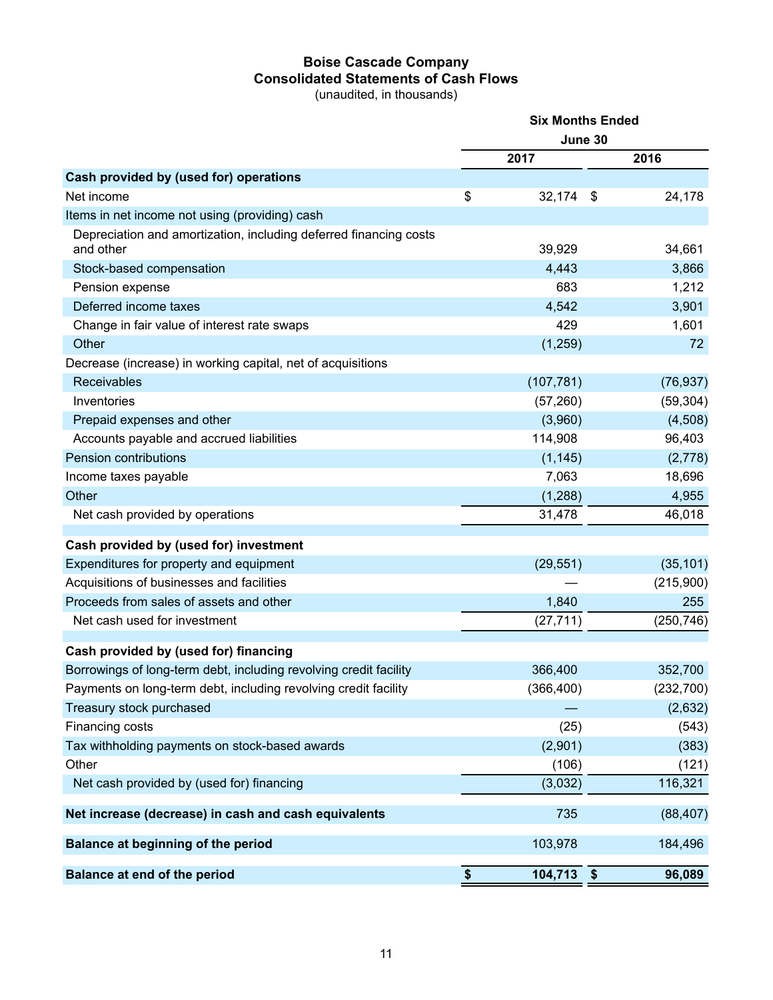### **Boise Cascade Company Consolidated Statements of Cash Flows**

(unaudited, in thousands)

|                                                                   | <b>Six Months Ended</b><br>June 30 |            |               |            |  |
|-------------------------------------------------------------------|------------------------------------|------------|---------------|------------|--|
|                                                                   |                                    | 2017       |               | 2016       |  |
| Cash provided by (used for) operations                            |                                    |            |               |            |  |
| Net income                                                        | \$                                 | 32,174     | \$            | 24,178     |  |
| Items in net income not using (providing) cash                    |                                    |            |               |            |  |
| Depreciation and amortization, including deferred financing costs |                                    |            |               |            |  |
| and other                                                         |                                    | 39,929     |               | 34,661     |  |
| Stock-based compensation                                          |                                    | 4,443      |               | 3,866      |  |
| Pension expense                                                   |                                    | 683        |               | 1,212      |  |
| Deferred income taxes                                             |                                    | 4,542      |               | 3,901      |  |
| Change in fair value of interest rate swaps                       |                                    | 429        |               | 1,601      |  |
| Other                                                             |                                    | (1,259)    |               | 72         |  |
| Decrease (increase) in working capital, net of acquisitions       |                                    |            |               |            |  |
| Receivables                                                       |                                    | (107, 781) |               | (76, 937)  |  |
| Inventories                                                       |                                    | (57, 260)  |               | (59, 304)  |  |
| Prepaid expenses and other                                        |                                    | (3,960)    |               | (4,508)    |  |
| Accounts payable and accrued liabilities                          |                                    | 114,908    |               | 96,403     |  |
| Pension contributions                                             |                                    | (1, 145)   |               | (2,778)    |  |
| Income taxes payable                                              |                                    | 7,063      |               | 18,696     |  |
| Other                                                             |                                    | (1,288)    |               | 4,955      |  |
| Net cash provided by operations                                   |                                    | 31,478     |               | 46,018     |  |
| Cash provided by (used for) investment                            |                                    |            |               |            |  |
| Expenditures for property and equipment                           |                                    | (29, 551)  |               | (35, 101)  |  |
| Acquisitions of businesses and facilities                         |                                    |            |               | (215,900)  |  |
| Proceeds from sales of assets and other                           |                                    | 1,840      |               | 255        |  |
| Net cash used for investment                                      |                                    | (27, 711)  |               | (250, 746) |  |
| Cash provided by (used for) financing                             |                                    |            |               |            |  |
| Borrowings of long-term debt, including revolving credit facility |                                    | 366,400    |               | 352,700    |  |
| Payments on long-term debt, including revolving credit facility   |                                    | (366, 400) |               | (232, 700) |  |
| Treasury stock purchased                                          |                                    |            |               | (2,632)    |  |
| Financing costs                                                   |                                    | (25)       |               | (543)      |  |
| Tax withholding payments on stock-based awards                    |                                    | (2,901)    |               | (383)      |  |
| Other                                                             |                                    | (106)      |               | (121)      |  |
| Net cash provided by (used for) financing                         |                                    | (3,032)    |               | 116,321    |  |
| Net increase (decrease) in cash and cash equivalents              |                                    | 735        |               | (88, 407)  |  |
| Balance at beginning of the period                                |                                    | 103,978    |               | 184,496    |  |
| <b>Balance at end of the period</b>                               | \$                                 | 104,713    | $\sqrt[6]{3}$ | 96,089     |  |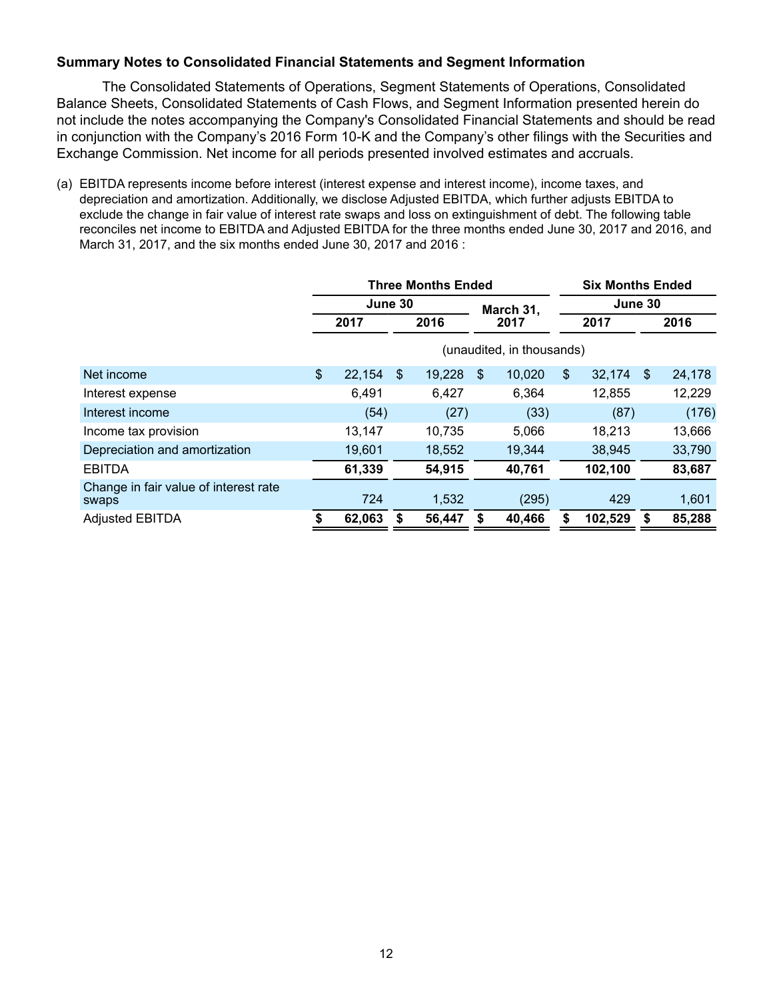#### **Summary Notes to Consolidated Financial Statements and Segment Information**

The Consolidated Statements of Operations, Segment Statements of Operations, Consolidated Balance Sheets, Consolidated Statements of Cash Flows, and Segment Information presented herein do not include the notes accompanying the Company's Consolidated Financial Statements and should be read in conjunction with the Company's 2016 Form 10-K and the Company's other filings with the Securities and Exchange Commission. Net income for all periods presented involved estimates and accruals.

(a) EBITDA represents income before interest (interest expense and interest income), income taxes, and depreciation and amortization. Additionally, we disclose Adjusted EBITDA, which further adjusts EBITDA to exclude the change in fair value of interest rate swaps and loss on extinguishment of debt. The following table reconciles net income to EBITDA and Adjusted EBITDA for the three months ended June 30, 2017 and 2016, and March 31, 2017, and the six months ended June 30, 2017 and 2016 :

|                                                |    |                           |         | <b>Three Months Ended</b> |    | <b>Six Months Ended</b> |    |         |    |        |  |      |
|------------------------------------------------|----|---------------------------|---------|---------------------------|----|-------------------------|----|---------|----|--------|--|------|
|                                                |    |                           | June 30 |                           |    | March 31,               |    | June 30 |    |        |  |      |
|                                                |    | 2017                      |         |                           |    | 2016                    |    | 2017    |    | 2017   |  | 2016 |
|                                                |    | (unaudited, in thousands) |         |                           |    |                         |    |         |    |        |  |      |
| Net income                                     | \$ | 22,154                    | \$      | 19,228                    | \$ | 10,020                  | \$ | 32.174  | -S | 24,178 |  |      |
| Interest expense                               |    | 6,491                     |         | 6.427                     |    | 6,364                   |    | 12,855  |    | 12,229 |  |      |
| Interest income                                |    | (54)                      |         | (27)                      |    | (33)                    |    | (87)    |    | (176)  |  |      |
| Income tax provision                           |    | 13.147                    |         | 10,735                    |    | 5,066                   |    | 18,213  |    | 13,666 |  |      |
| Depreciation and amortization                  |    | 19,601                    |         | 18,552                    |    | 19,344                  |    | 38,945  |    | 33,790 |  |      |
| <b>EBITDA</b>                                  |    | 61,339                    |         | 54,915                    |    | 40,761                  |    | 102,100 |    | 83,687 |  |      |
| Change in fair value of interest rate<br>swaps |    | 724                       |         | 1,532                     |    | (295)                   |    | 429     |    | 1,601  |  |      |
| <b>Adjusted EBITDA</b>                         | \$ | 62,063                    |         | 56,447                    |    | 40,466                  |    | 102,529 | S  | 85,288 |  |      |